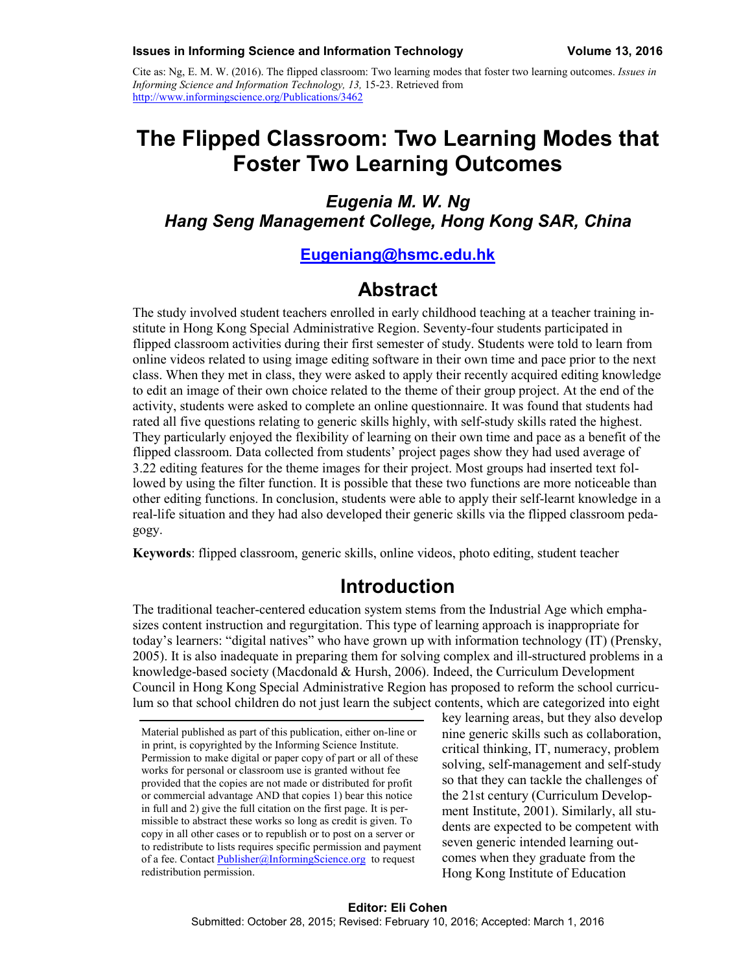Cite as: Ng, E. M. W. (2016). The flipped classroom: Two learning modes that foster two learning outcomes. *Issues in Informing Science and Information Technology, 13,* 15-23. Retrieved from <http://www.informingscience.org/Publications/3462>

# **The Flipped Classroom: Two Learning Modes that Foster Two Learning Outcomes**

*Eugenia M. W. Ng Hang Seng Management College, Hong Kong SAR, China*

#### **[Eugeniang@hsmc.edu.hk](mailto:Eugeniang@hsmc.edu.hk)**

### **Abstract**

The study involved student teachers enrolled in early childhood teaching at a teacher training institute in Hong Kong Special Administrative Region. Seventy-four students participated in flipped classroom activities during their first semester of study. Students were told to learn from online videos related to using image editing software in their own time and pace prior to the next class. When they met in class, they were asked to apply their recently acquired editing knowledge to edit an image of their own choice related to the theme of their group project. At the end of the activity, students were asked to complete an online questionnaire. It was found that students had rated all five questions relating to generic skills highly, with self-study skills rated the highest. They particularly enjoyed the flexibility of learning on their own time and pace as a benefit of the flipped classroom. Data collected from students' project pages show they had used average of 3.22 editing features for the theme images for their project. Most groups had inserted text followed by using the filter function. It is possible that these two functions are more noticeable than other editing functions. In conclusion, students were able to apply their self-learnt knowledge in a real-life situation and they had also developed their generic skills via the flipped classroom pedagogy.

**Keywords**: flipped classroom, generic skills, online videos, photo editing, student teacher

#### **Introduction**

The traditional teacher-centered education system stems from the Industrial Age which emphasizes content instruction and regurgitation. This type of learning approach is inappropriate for today's learners: "digital natives" who have grown up with information technology (IT) (Prensky, 2005). It is also inadequate in preparing them for solving complex and ill-structured problems in a knowledge-based society (Macdonald & Hursh, 2006). Indeed, the Curriculum Development Council in Hong Kong Special Administrative Region has proposed to reform the school curriculum so that school children do not just learn the subject contents, which are categorized into eight

key learning areas, but they also develop nine generic skills such as collaboration, critical thinking, IT, numeracy, problem solving, self-management and self-study so that they can tackle the challenges of the 21st century (Curriculum Development Institute, 2001). Similarly, all students are expected to be competent with seven generic intended learning outcomes when they graduate from the Hong Kong Institute of Education

Material published as part of this publication, either on-line or in print, is copyrighted by the Informing Science Institute. Permission to make digital or paper copy of part or all of these works for personal or classroom use is granted without fee provided that the copies are not made or distributed for profit or commercial advantage AND that copies 1) bear this notice in full and 2) give the full citation on the first page. It is permissible to abstract these works so long as credit is given. To copy in all other cases or to republish or to post on a server or to redistribute to lists requires specific permission and payment of a fee. Contact [Publisher@InformingScience.org](mailto:Publisher@InformingScience.org) to request redistribution permission.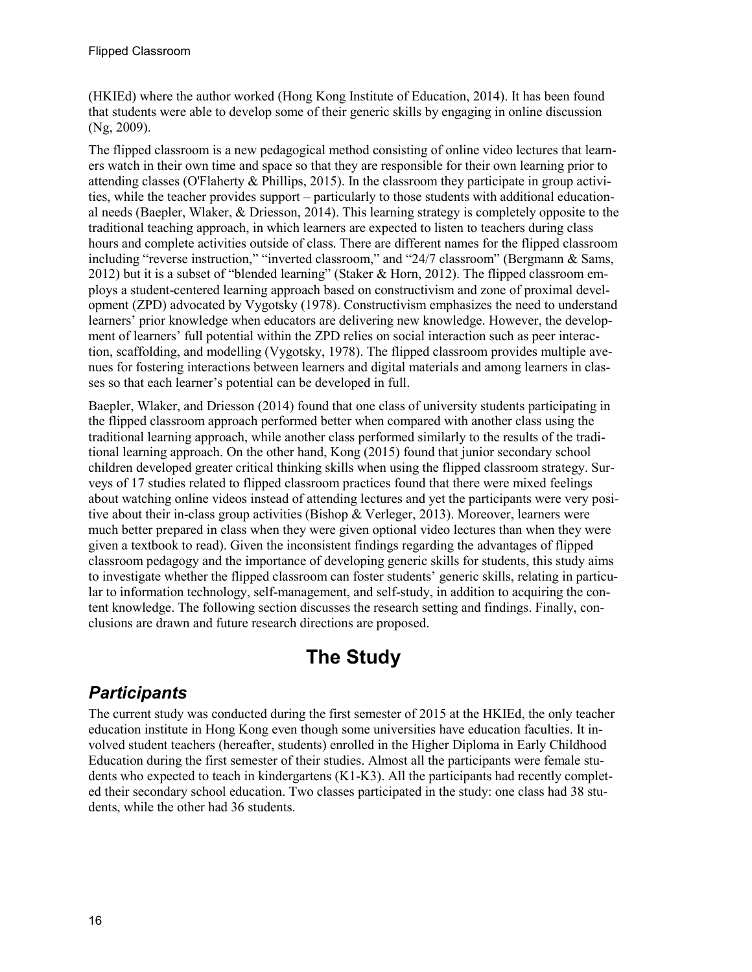(HKIEd) where the author worked (Hong Kong Institute of Education, 2014). It has been found that students were able to develop some of their generic skills by engaging in online discussion (Ng, 2009).

The flipped classroom is a new pedagogical method consisting of online video lectures that learners watch in their own time and space so that they are responsible for their own learning prior to attending classes (O'Flaherty & Phillips, 2015). In the classroom they participate in group activities, while the teacher provides support – particularly to those students with additional educational needs (Baepler, Wlaker, & Driesson, 2014). This learning strategy is completely opposite to the traditional teaching approach, in which learners are expected to listen to teachers during class hours and complete activities outside of class. There are different names for the flipped classroom including "reverse instruction," "inverted classroom," and "24/7 classroom" (Bergmann & Sams, 2012) but it is a subset of "blended learning" (Staker & Horn, 2012). The flipped classroom employs a student-centered learning approach based on constructivism and zone of proximal development (ZPD) advocated by Vygotsky (1978). Constructivism emphasizes the need to understand learners' prior knowledge when educators are delivering new knowledge. However, the development of learners' full potential within the ZPD relies on social interaction such as peer interaction, scaffolding, and modelling (Vygotsky, 1978). The flipped classroom provides multiple avenues for fostering interactions between learners and digital materials and among learners in classes so that each learner's potential can be developed in full.

Baepler, Wlaker, and Driesson (2014) found that one class of university students participating in the flipped classroom approach performed better when compared with another class using the traditional learning approach, while another class performed similarly to the results of the traditional learning approach. On the other hand, Kong (2015) found that junior secondary school children developed greater critical thinking skills when using the flipped classroom strategy. Surveys of 17 studies related to flipped classroom practices found that there were mixed feelings about watching online videos instead of attending lectures and yet the participants were very positive about their in-class group activities (Bishop & Verleger, 2013). Moreover, learners were much better prepared in class when they were given optional video lectures than when they were given a textbook to read). Given the inconsistent findings regarding the advantages of flipped classroom pedagogy and the importance of developing generic skills for students, this study aims to investigate whether the flipped classroom can foster students' generic skills, relating in particular to information technology, self-management, and self-study, in addition to acquiring the content knowledge. The following section discusses the research setting and findings. Finally, conclusions are drawn and future research directions are proposed.

# **The Study**

## *Participants*

The current study was conducted during the first semester of 2015 at the HKIEd, the only teacher education institute in Hong Kong even though some universities have education faculties. It involved student teachers (hereafter, students) enrolled in the Higher Diploma in Early Childhood Education during the first semester of their studies. Almost all the participants were female students who expected to teach in kindergartens (K1-K3). All the participants had recently completed their secondary school education. Two classes participated in the study: one class had 38 students, while the other had 36 students.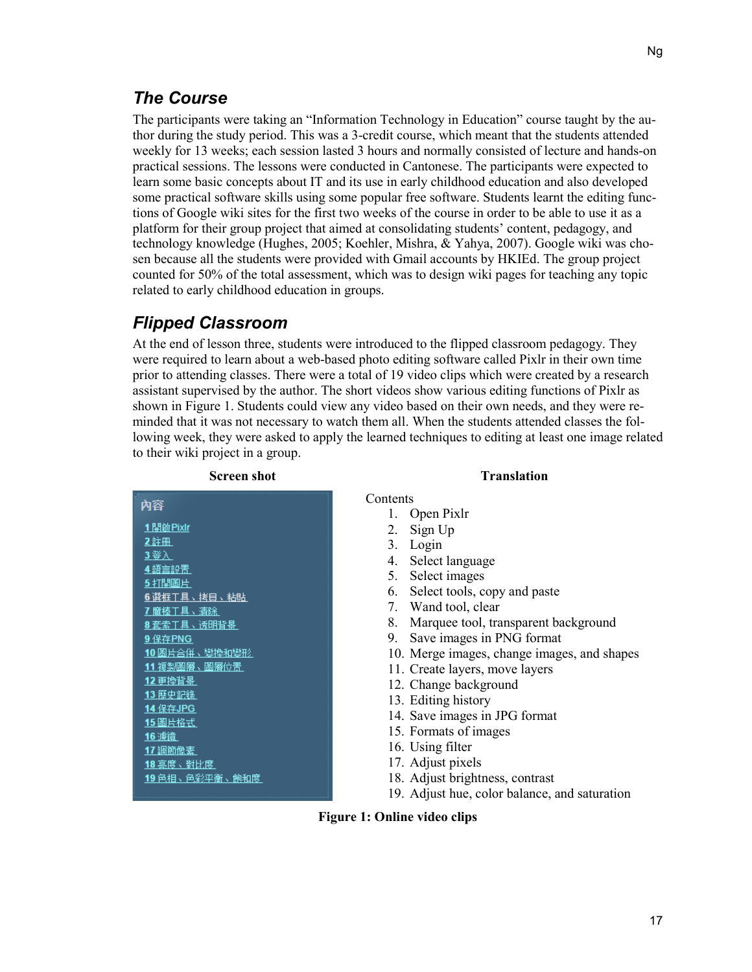### *The Course*

The participants were taking an "Information Technology in Education" course taught by the author during the study period. This was a 3-credit course, which meant that the students attended weekly for 13 weeks; each session lasted 3 hours and normally consisted of lecture and hands-on practical sessions. The lessons were conducted in Cantonese. The participants were expected to learn some basic concepts about IT and its use in early childhood education and also developed some practical software skills using some popular free software. Students learnt the editing functions of Google wiki sites for the first two weeks of the course in order to be able to use it as a platform for their group project that aimed at consolidating students' content, pedagogy, and technology knowledge (Hughes, 2005; Koehler, Mishra, & Yahya, 2007). Google wiki was chosen because all the students were provided with Gmail accounts by HKIEd. The group project counted for 50% of the total assessment, which was to design wiki pages for teaching any topic related to early childhood education in groups.

### *Flipped Classroom*

At the end of lesson three, students were introduced to the flipped classroom pedagogy. They were required to learn about a web-based photo editing software called Pixlr in their own time prior to attending classes. There were a total of 19 video clips which were created by a research assistant supervised by the author. The short videos show various editing functions of Pixlr as shown in Figure 1. Students could view any video based on their own needs, and they were reminded that it was not necessary to watch them all. When the students attended classes the following week, they were asked to apply the learned techniques to editing at least one image related to their wiki project in a group.

| <b>Screen shot</b>     | <b>Translation</b>                            |
|------------------------|-----------------------------------------------|
| 祁容                     | Contents                                      |
|                        | Open Pixlr                                    |
| <u>1開啟Pixlr</u>        | 2.<br>Sign Up                                 |
| 2.註冊                   | 3. Login                                      |
| <u>3登入</u>             | Select language<br>4.                         |
| 4 語言設置                 | Select images<br>5.                           |
| 5打開圖片                  | Select tools, copy and paste<br>6.            |
| 6 選框干具、拷目、粘貼           | 7. Wand tool, clear                           |
| 7麿棒T具、清除<br>8套索T具、诱明背景 | Marquee tool, transparent background<br>8.    |
| 9 保存PNG                | Save images in PNG format<br>9.               |
| 10 圌片合併、變換和變形          | 10. Merge images, change images, and shapes   |
| 11 複製鬧層、鬧層位置           | 11. Create layers, move layers                |
| 12 更換背畧                |                                               |
| 13 歷史記錄                | 12. Change background                         |
| 14 保存JPG               | 13. Editing history                           |
|                        | 14. Save images in JPG format                 |
| 16 濾鏡                  | 15. Formats of images                         |
| 17 調節像素                | 16. Using filter                              |
| <u>18 亮度、對比度</u>       | 17. Adjust pixels                             |
| 19 色相、色彩平衡、飽和度         | 18. Adjust brightness, contrast               |
|                        | 19. Adjust hue, color balance, and saturation |

#### **Figure 1: Online video clips**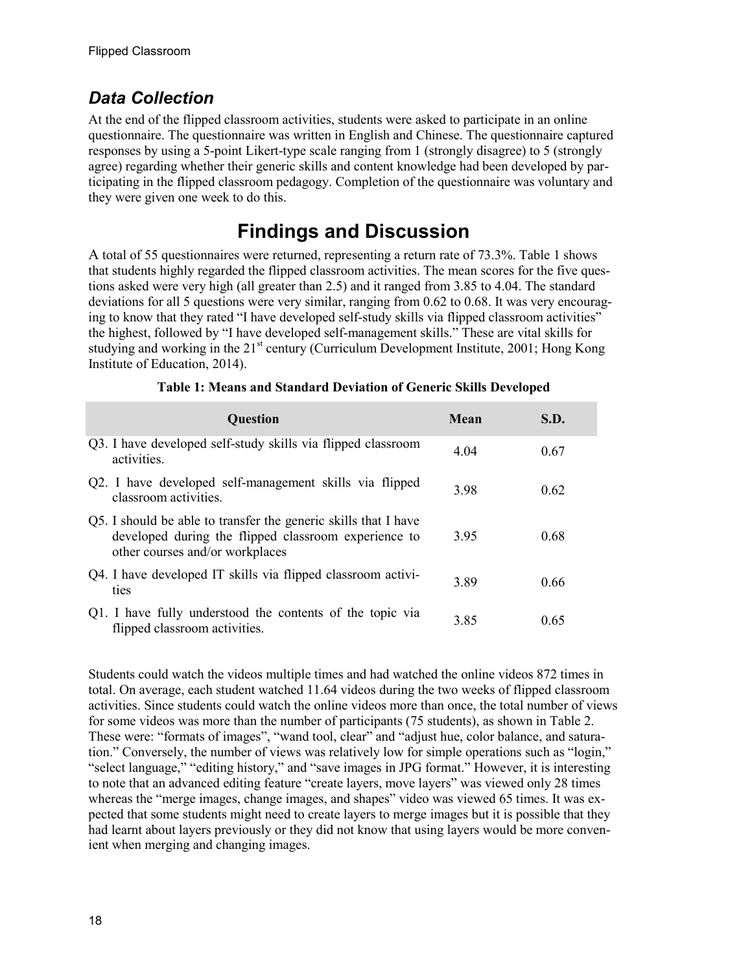### *Data Collection*

At the end of the flipped classroom activities, students were asked to participate in an online questionnaire. The questionnaire was written in English and Chinese. The questionnaire captured responses by using a 5-point Likert-type scale ranging from 1 (strongly disagree) to 5 (strongly agree) regarding whether their generic skills and content knowledge had been developed by participating in the flipped classroom pedagogy. Completion of the questionnaire was voluntary and they were given one week to do this.

## **Findings and Discussion**

A total of 55 questionnaires were returned, representing a return rate of 73.3%. Table 1 shows that students highly regarded the flipped classroom activities. The mean scores for the five questions asked were very high (all greater than 2.5) and it ranged from 3.85 to 4.04. The standard deviations for all 5 questions were very similar, ranging from 0.62 to 0.68. It was very encouraging to know that they rated "I have developed self-study skills via flipped classroom activities" the highest, followed by "I have developed self-management skills." These are vital skills for studying and working in the  $21<sup>st</sup>$  century (Curriculum Development Institute, 2001; Hong Kong Institute of Education, 2014).

| <b>Question</b>                                                                                                                                            | Mean | S.D. |
|------------------------------------------------------------------------------------------------------------------------------------------------------------|------|------|
| Q3. I have developed self-study skills via flipped classroom<br>activities.                                                                                | 4.04 | 0.67 |
| Q2. I have developed self-management skills via flipped<br>classroom activities.                                                                           | 3.98 | 0.62 |
| Q5. I should be able to transfer the generic skills that I have<br>developed during the flipped classroom experience to<br>other courses and/or workplaces | 3.95 | 0.68 |
| Q4. I have developed IT skills via flipped classroom activi-<br>ties                                                                                       | 3.89 | 0.66 |
| Q1. I have fully understood the contents of the topic via<br>flipped classroom activities.                                                                 | 3.85 | 0.65 |

|  | Table 1: Means and Standard Deviation of Generic Skills Developed |  |  |  |
|--|-------------------------------------------------------------------|--|--|--|
|--|-------------------------------------------------------------------|--|--|--|

Students could watch the videos multiple times and had watched the online videos 872 times in total. On average, each student watched 11.64 videos during the two weeks of flipped classroom activities. Since students could watch the online videos more than once, the total number of views for some videos was more than the number of participants (75 students), as shown in Table 2. These were: "formats of images", "wand tool, clear" and "adjust hue, color balance, and saturation." Conversely, the number of views was relatively low for simple operations such as "login," "select language," "editing history," and "save images in JPG format." However, it is interesting to note that an advanced editing feature "create layers, move layers" was viewed only 28 times whereas the "merge images, change images, and shapes" video was viewed 65 times. It was expected that some students might need to create layers to merge images but it is possible that they had learnt about layers previously or they did not know that using layers would be more convenient when merging and changing images.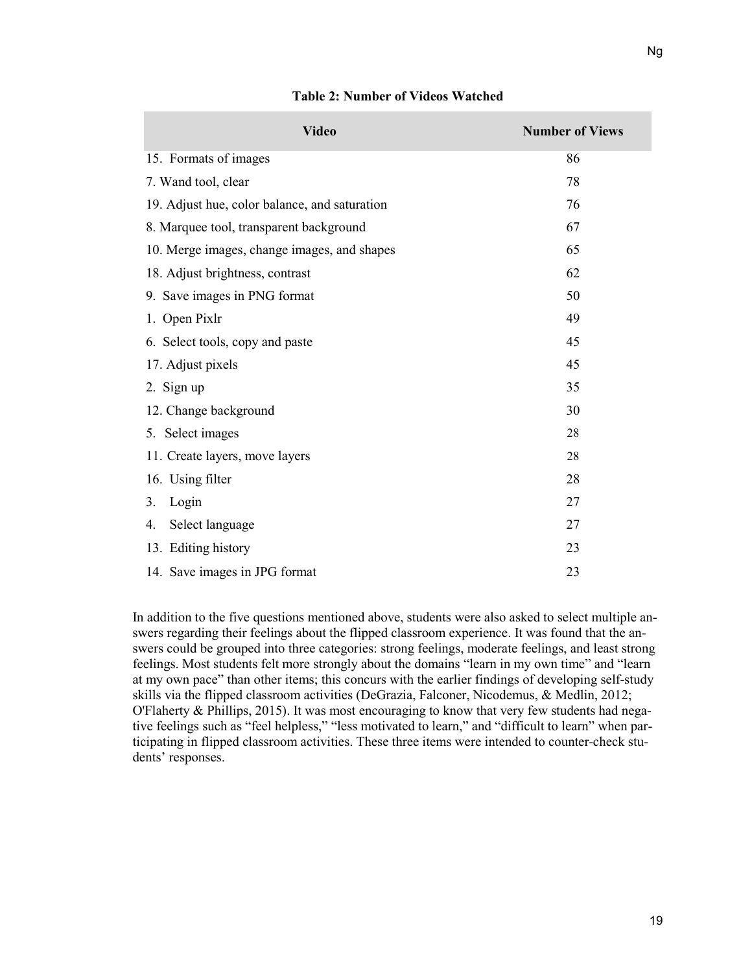Ng

| <b>Video</b>                                  | <b>Number of Views</b> |
|-----------------------------------------------|------------------------|
| 15. Formats of images                         | 86                     |
| 7. Wand tool, clear                           | 78                     |
| 19. Adjust hue, color balance, and saturation | 76                     |
| 8. Marquee tool, transparent background       | 67                     |
| 10. Merge images, change images, and shapes   | 65                     |
| 18. Adjust brightness, contrast               | 62                     |
| 9. Save images in PNG format                  | 50                     |
| 1. Open Pixlr                                 | 49                     |
| 6. Select tools, copy and paste               | 45                     |
| 17. Adjust pixels                             | 45                     |
| 2. Sign up                                    | 35                     |
| 12. Change background                         | 30                     |
| 5. Select images                              | 28                     |
| 11. Create layers, move layers                | 28                     |
| 16. Using filter                              | 28                     |
| Login<br>3.                                   | 27                     |
| Select language<br>4.                         | 27                     |
| 13. Editing history                           | 23                     |
| 14. Save images in JPG format                 | 23                     |
|                                               |                        |

#### **Table 2: Number of Videos Watched**

In addition to the five questions mentioned above, students were also asked to select multiple answers regarding their feelings about the flipped classroom experience. It was found that the answers could be grouped into three categories: strong feelings, moderate feelings, and least strong feelings. Most students felt more strongly about the domains "learn in my own time" and "learn at my own pace" than other items; this concurs with the earlier findings of developing self-study skills via the flipped classroom activities (DeGrazia, Falconer, Nicodemus, & Medlin, 2012; O'Flaherty & Phillips, 2015). It was most encouraging to know that very few students had negative feelings such as "feel helpless," "less motivated to learn," and "difficult to learn" when participating in flipped classroom activities. These three items were intended to counter-check students' responses.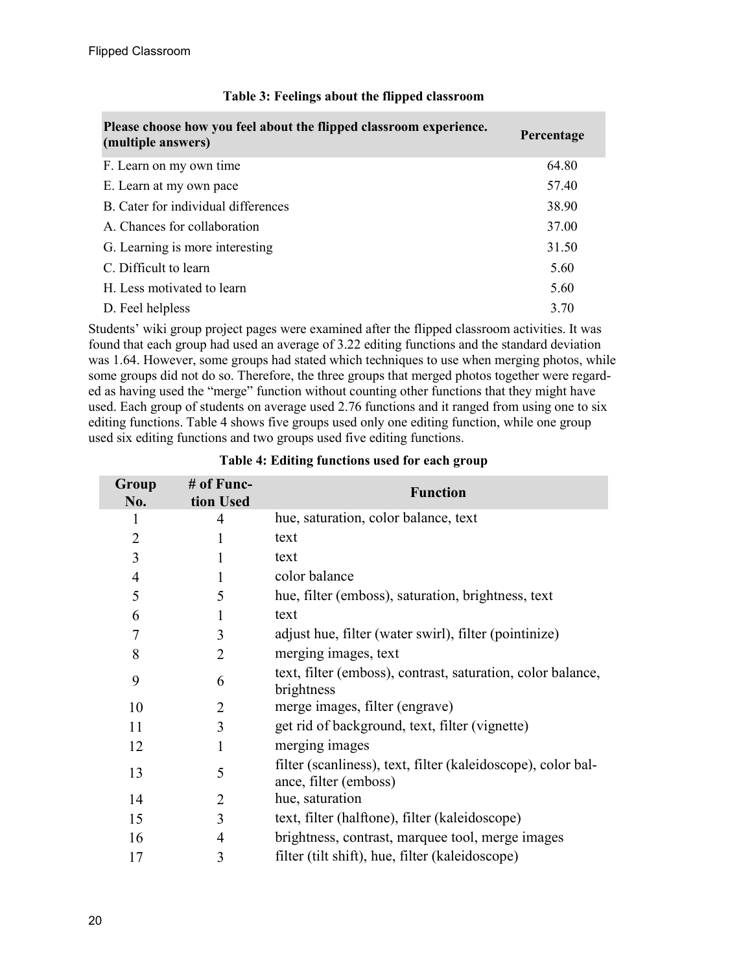| Please choose how you feel about the flipped classroom experience.<br>(multiple answers) | Percentage |
|------------------------------------------------------------------------------------------|------------|
| F. Learn on my own time                                                                  | 64.80      |
| E. Learn at my own pace                                                                  | 57.40      |
| B. Cater for individual differences                                                      | 38.90      |
| A. Chances for collaboration                                                             | 37.00      |
| G. Learning is more interesting                                                          | 31.50      |
| C. Difficult to learn                                                                    | 5.60       |
| H. Less motivated to learn                                                               | 5.60       |
| D. Feel helpless                                                                         | 3.70       |

#### **Table 3: Feelings about the flipped classroom**

Students' wiki group project pages were examined after the flipped classroom activities. It was found that each group had used an average of 3.22 editing functions and the standard deviation was 1.64. However, some groups had stated which techniques to use when merging photos, while some groups did not do so. Therefore, the three groups that merged photos together were regarded as having used the "merge" function without counting other functions that they might have used. Each group of students on average used 2.76 functions and it ranged from using one to six editing functions. Table 4 shows five groups used only one editing function, while one group used six editing functions and two groups used five editing functions.

| Group<br>No.   | # of Func-<br>tion Used | <b>Function</b>                                                                       |
|----------------|-------------------------|---------------------------------------------------------------------------------------|
| 1              | 4                       | hue, saturation, color balance, text                                                  |
| $\overline{2}$ | 1                       | text                                                                                  |
| 3              | 1                       | text                                                                                  |
| $\overline{4}$ | 1                       | color balance                                                                         |
| 5              | 5                       | hue, filter (emboss), saturation, brightness, text                                    |
| 6              | 1                       | text                                                                                  |
| $\overline{7}$ | 3                       | adjust hue, filter (water swirl), filter (pointinize)                                 |
| 8              | $\overline{2}$          | merging images, text                                                                  |
| 9              | 6                       | text, filter (emboss), contrast, saturation, color balance,<br>brightness             |
| 10             | 2                       | merge images, filter (engrave)                                                        |
| 11             | 3                       | get rid of background, text, filter (vignette)                                        |
| 12             | 1                       | merging images                                                                        |
| 13             | 5                       | filter (scanliness), text, filter (kaleidoscope), color bal-<br>ance, filter (emboss) |
| 14             | 2                       | hue, saturation                                                                       |
| 15             | 3                       | text, filter (halftone), filter (kaleidoscope)                                        |
| 16             | 4                       | brightness, contrast, marquee tool, merge images                                      |
| 17             | 3                       | filter (tilt shift), hue, filter (kaleidoscope)                                       |

#### **Table 4: Editing functions used for each group**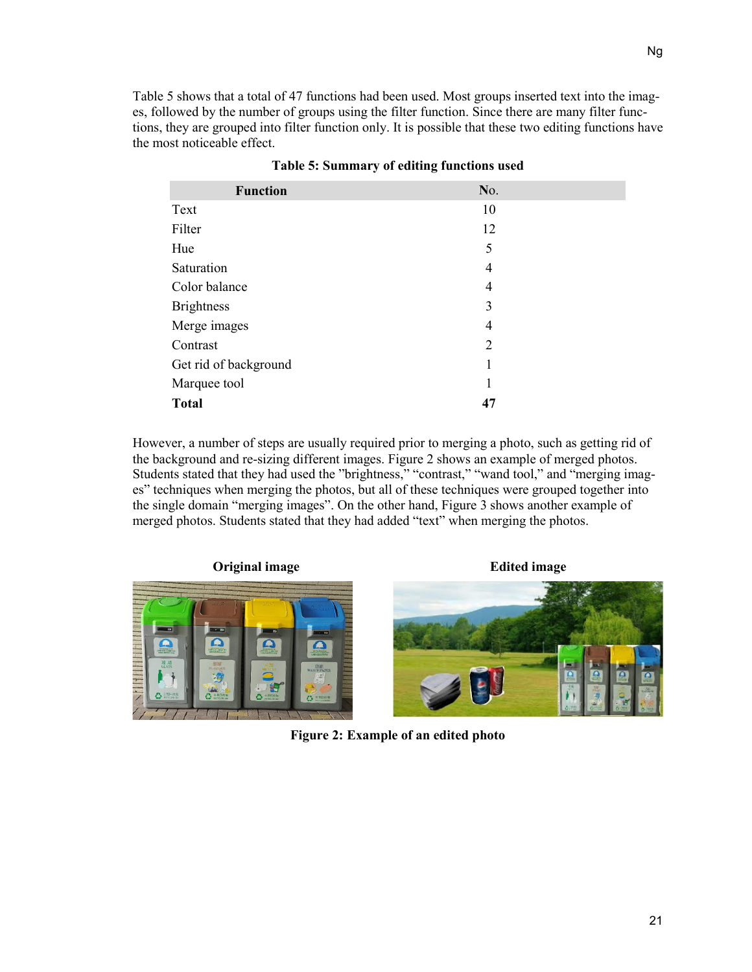Table 5 shows that a total of 47 functions had been used. Most groups inserted text into the images, followed by the number of groups using the filter function. Since there are many filter functions, they are grouped into filter function only. It is possible that these two editing functions have the most noticeable effect.

| <b>Function</b>       | No.            |  |
|-----------------------|----------------|--|
| Text                  | 10             |  |
| Filter                | 12             |  |
| Hue                   | 5              |  |
| Saturation            | 4              |  |
| Color balance         | 4              |  |
| <b>Brightness</b>     | 3              |  |
| Merge images          | 4              |  |
| Contrast              | $\overline{2}$ |  |
| Get rid of background | 1              |  |
| Marquee tool          | 1              |  |
| <b>Total</b>          | 47             |  |

|  | Table 5: Summary of editing functions used |  |  |
|--|--------------------------------------------|--|--|
|  |                                            |  |  |

However, a number of steps are usually required prior to merging a photo, such as getting rid of the background and re-sizing different images. Figure 2 shows an example of merged photos. Students stated that they had used the "brightness," "contrast," "wand tool," and "merging images" techniques when merging the photos, but all of these techniques were grouped together into the single domain "merging images". On the other hand, Figure 3 shows another example of merged photos. Students stated that they had added "text" when merging the photos.

**Original image Edited image**





**Figure 2: Example of an edited photo**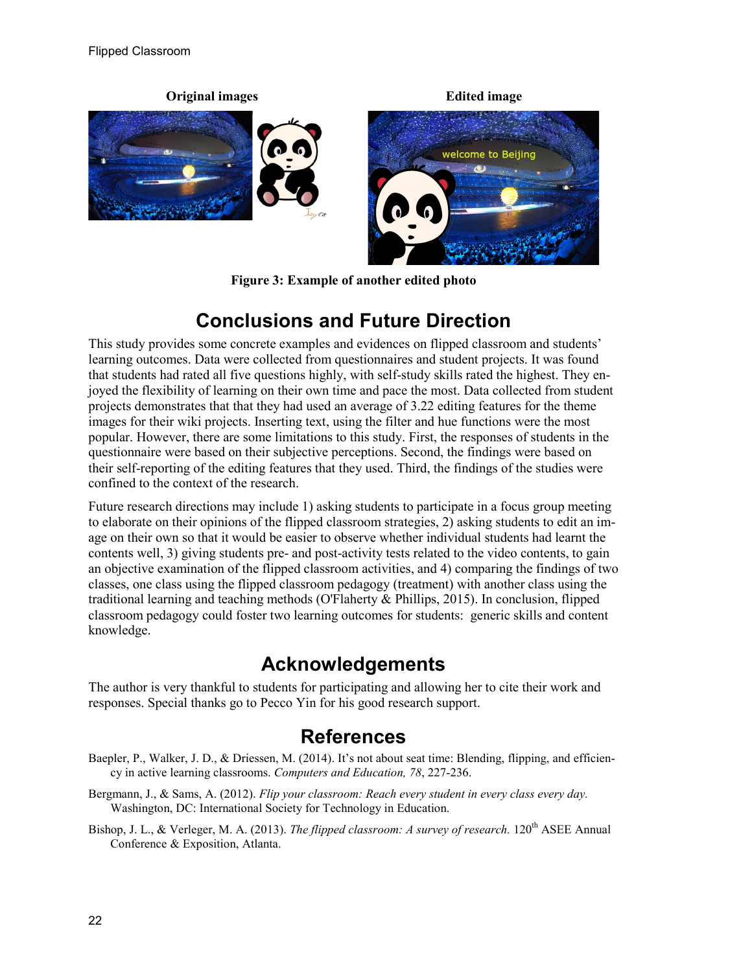

**Figure 3: Example of another edited photo**

# **Conclusions and Future Direction**

This study provides some concrete examples and evidences on flipped classroom and students' learning outcomes. Data were collected from questionnaires and student projects. It was found that students had rated all five questions highly, with self-study skills rated the highest. They enjoyed the flexibility of learning on their own time and pace the most. Data collected from student projects demonstrates that that they had used an average of 3.22 editing features for the theme images for their wiki projects. Inserting text, using the filter and hue functions were the most popular. However, there are some limitations to this study. First, the responses of students in the questionnaire were based on their subjective perceptions. Second, the findings were based on their self-reporting of the editing features that they used. Third, the findings of the studies were confined to the context of the research.

Future research directions may include 1) asking students to participate in a focus group meeting to elaborate on their opinions of the flipped classroom strategies, 2) asking students to edit an image on their own so that it would be easier to observe whether individual students had learnt the contents well, 3) giving students pre- and post-activity tests related to the video contents, to gain an objective examination of the flipped classroom activities, and 4) comparing the findings of two classes, one class using the flipped classroom pedagogy (treatment) with another class using the traditional learning and teaching methods (O'Flaherty & Phillips, 2015). In conclusion, flipped classroom pedagogy could foster two learning outcomes for students: generic skills and content knowledge.

## **Acknowledgements**

The author is very thankful to students for participating and allowing her to cite their work and responses. Special thanks go to Pecco Yin for his good research support.

### **References**

- Baepler, P., Walker, J. D., & Driessen, M. (2014). It's not about seat time: Blending, flipping, and efficiency in active learning classrooms. *Computers and Education, 78*, 227-236.
- Bergmann, J., & Sams, A. (2012). *Flip your classroom: Reach every student in every class every day.*  Washington, DC: International Society for Technology in Education.
- Bishop, J. L., & Verleger, M. A. (2013). *The flipped classroom: A survey of research.* 120th ASEE Annual Conference & Exposition, Atlanta.